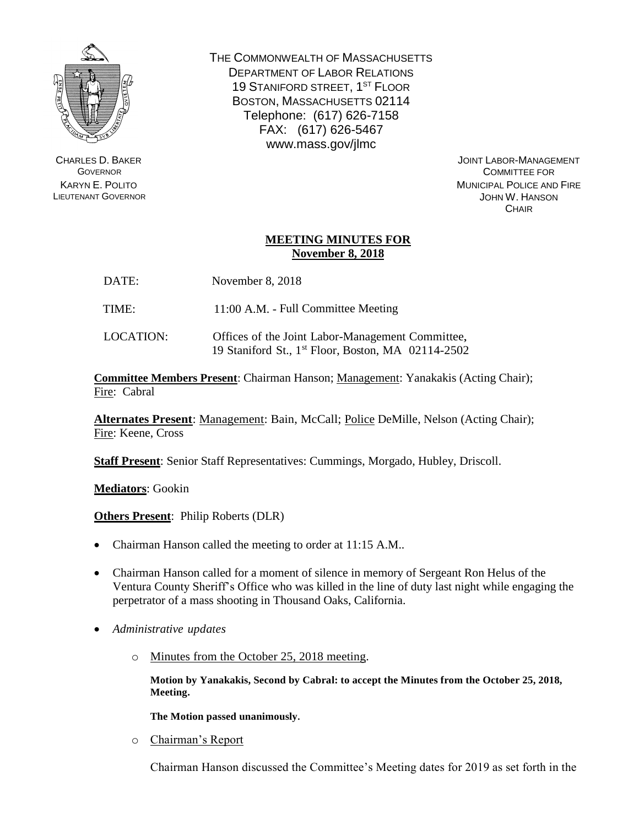

CHARLES D. BAKER **GOVERNOR** KARYN E. POLITO LIEUTENANT GOVERNOR THE COMMONWEALTH OF MASSACHUSETTS DEPARTMENT OF LABOR RELATIONS 19 STANIFORD STREET, 1<sup>ST</sup> FLOOR BOSTON, MASSACHUSETTS 02114 Telephone: (617) 626-7158 FAX: (617) 626-5467 www.mass.gov/jlmc

> JOINT LABOR-MANAGEMENT COMMITTEE FOR MUNICIPAL POLICE AND FIRE JOHN W. HANSON **CHAIR**

## **MEETING MINUTES FOR November 8, 2018**

| DATE: | November 8, 2018 |  |  |
|-------|------------------|--|--|
|-------|------------------|--|--|

TIME: 11:00 A.M. - Full Committee Meeting

LOCATION: Offices of the Joint Labor-Management Committee, 19 Staniford St., 1 st Floor, Boston, MA 02114-2502

**Committee Members Present**: Chairman Hanson; Management: Yanakakis (Acting Chair); Fire: Cabral

**Alternates Present**: Management: Bain, McCall; Police DeMille, Nelson (Acting Chair); Fire: Keene, Cross

**Staff Present**: Senior Staff Representatives: Cummings, Morgado, Hubley, Driscoll.

**Mediators**: Gookin

**Others Present**: Philip Roberts (DLR)

- Chairman Hanson called the meeting to order at 11:15 A.M..
- Chairman Hanson called for a moment of silence in memory of Sergeant Ron Helus of the Ventura County Sheriff's Office who was killed in the line of duty last night while engaging the perpetrator of a mass shooting in Thousand Oaks, California.
- *Administrative updates*
	- o Minutes from the October 25, 2018 meeting.

**Motion by Yanakakis, Second by Cabral: to accept the Minutes from the October 25, 2018, Meeting.** 

**The Motion passed unanimously.**

o Chairman's Report

Chairman Hanson discussed the Committee's Meeting dates for 2019 as set forth in the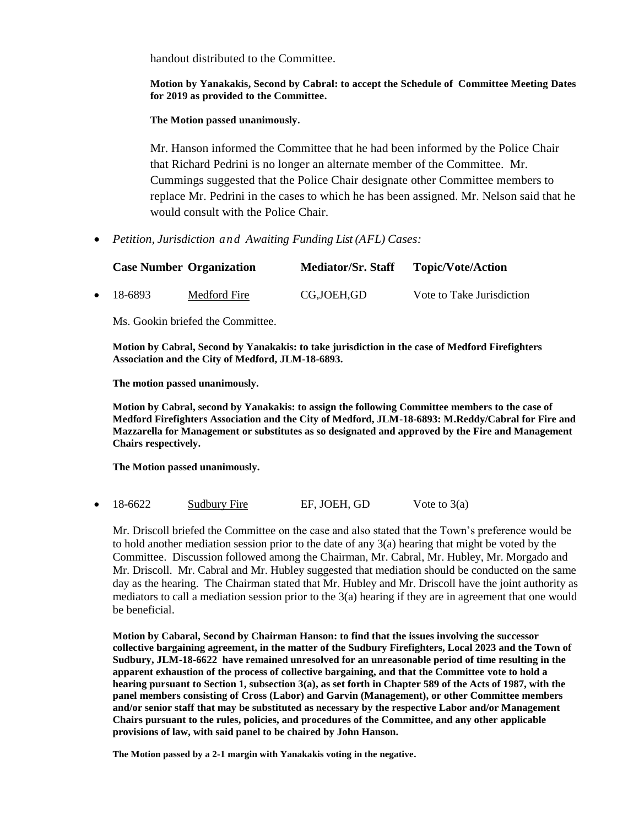handout distributed to the Committee.

**Motion by Yanakakis, Second by Cabral: to accept the Schedule of Committee Meeting Dates for 2019 as provided to the Committee.** 

**The Motion passed unanimously.**

Mr. Hanson informed the Committee that he had been informed by the Police Chair that Richard Pedrini is no longer an alternate member of the Committee. Mr. Cummings suggested that the Police Chair designate other Committee members to replace Mr. Pedrini in the cases to which he has been assigned. Mr. Nelson said that he would consult with the Police Chair.

*Petition, Jurisdiction and Awaiting Funding List (AFL) Cases:*

|                   | <b>Case Number Organization</b> | <b>Mediator/Sr. Staff</b> | <b>Topic/Vote/Action</b>  |
|-------------------|---------------------------------|---------------------------|---------------------------|
| $\bullet$ 18-6893 | Medford Fire                    | CG.JOEH.GD                | Vote to Take Jurisdiction |

Ms. Gookin briefed the Committee.

**Motion by Cabral, Second by Yanakakis: to take jurisdiction in the case of Medford Firefighters Association and the City of Medford, JLM-18-6893.** 

**The motion passed unanimously.** 

**Motion by Cabral, second by Yanakakis: to assign the following Committee members to the case of Medford Firefighters Association and the City of Medford, JLM-18-6893: M.Reddy/Cabral for Fire and Mazzarella for Management or substitutes as so designated and approved by the Fire and Management Chairs respectively.** 

**The Motion passed unanimously.**

18-6622 Sudbury Fire EF, JOEH, GD Vote to  $3(a)$ 

Mr. Driscoll briefed the Committee on the case and also stated that the Town's preference would be to hold another mediation session prior to the date of any 3(a) hearing that might be voted by the Committee. Discussion followed among the Chairman, Mr. Cabral, Mr. Hubley, Mr. Morgado and Mr. Driscoll. Mr. Cabral and Mr. Hubley suggested that mediation should be conducted on the same day as the hearing. The Chairman stated that Mr. Hubley and Mr. Driscoll have the joint authority as mediators to call a mediation session prior to the 3(a) hearing if they are in agreement that one would be beneficial.

**Motion by Cabaral, Second by Chairman Hanson: to find that the issues involving the successor collective bargaining agreement, in the matter of the Sudbury Firefighters, Local 2023 and the Town of Sudbury, JLM-18-6622 have remained unresolved for an unreasonable period of time resulting in the apparent exhaustion of the process of collective bargaining, and that the Committee vote to hold a hearing pursuant to Section 1, subsection 3(a), as set forth in Chapter 589 of the Acts of 1987, with the panel members consisting of Cross (Labor) and Garvin (Management), or other Committee members and/or senior staff that may be substituted as necessary by the respective Labor and/or Management Chairs pursuant to the rules, policies, and procedures of the Committee, and any other applicable provisions of law, with said panel to be chaired by John Hanson.**

**The Motion passed by a 2-1 margin with Yanakakis voting in the negative.**